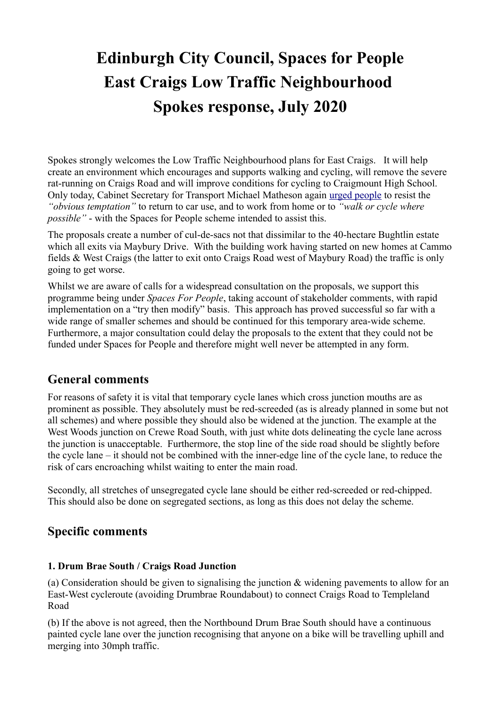# **Edinburgh City Council, Spaces for People East Craigs Low Traffic Neighbourhood Spokes response, July 2020**

Spokes strongly welcomes the Low Traffic Neighbourhood plans for East Craigs. It will help create an environment which encourages and supports walking and cycling, will remove the severe rat-running on Craigs Road and will improve conditions for cycling to Craigmount High School. Only today, Cabinet Secretary for Transport Michael Matheson again [urged people](https://www.transport.gov.scot/news/opportunity-to-change-scotland-s-travel-habits/) to resist the *"obvious temptation"* to return to car use, and to work from home or to *"walk or cycle where possible"* - with the Spaces for People scheme intended to assist this.

The proposals create a number of cul-de-sacs not that dissimilar to the 40-hectare Bughtlin estate which all exits via Maybury Drive. With the building work having started on new homes at Cammo fields & West Craigs (the latter to exit onto Craigs Road west of Maybury Road) the traffic is only going to get worse.

Whilst we are aware of calls for a widespread consultation on the proposals, we support this programme being under *Spaces For People*, taking account of stakeholder comments, with rapid implementation on a "try then modify" basis. This approach has proved successful so far with a wide range of smaller schemes and should be continued for this temporary area-wide scheme. Furthermore, a major consultation could delay the proposals to the extent that they could not be funded under Spaces for People and therefore might well never be attempted in any form.

## **General comments**

For reasons of safety it is vital that temporary cycle lanes which cross junction mouths are as prominent as possible. They absolutely must be red-screeded (as is already planned in some but not all schemes) and where possible they should also be widened at the junction. The example at the West Woods junction on Crewe Road South, with just white dots delineating the cycle lane across the junction is unacceptable. Furthermore, the stop line of the side road should be slightly before the cycle lane – it should not be combined with the inner-edge line of the cycle lane, to reduce the risk of cars encroaching whilst waiting to enter the main road.

Secondly, all stretches of unsegregated cycle lane should be either red-screeded or red-chipped. This should also be done on segregated sections, as long as this does not delay the scheme.

## **Specific comments**

### **1. Drum Brae South / Craigs Road Junction**

(a) Consideration should be given to signalising the junction & widening pavements to allow for an East-West cycleroute (avoiding Drumbrae Roundabout) to connect Craigs Road to Templeland Road

(b) If the above is not agreed, then the Northbound Drum Brae South should have a continuous painted cycle lane over the junction recognising that anyone on a bike will be travelling uphill and merging into 30mph traffic.